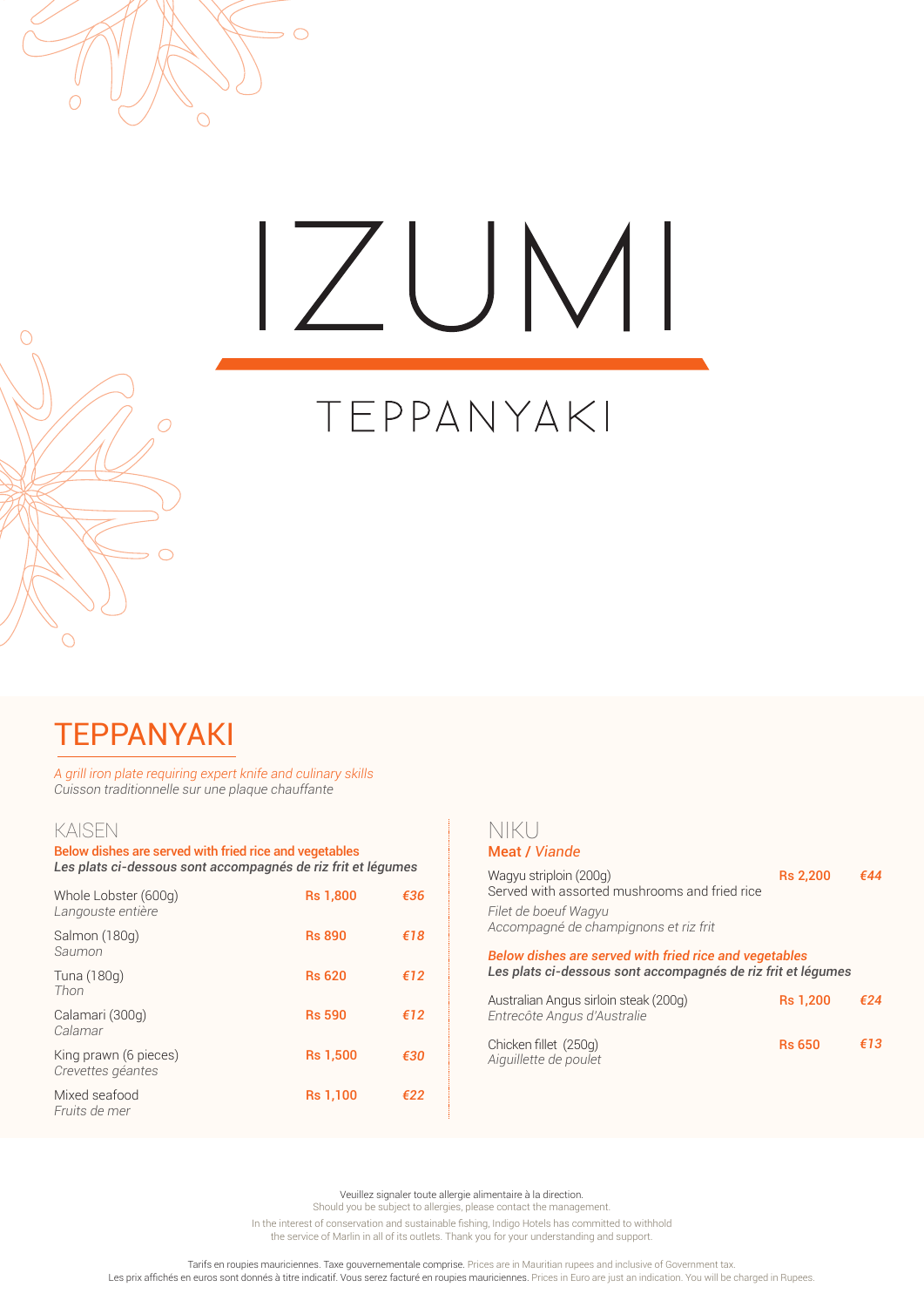

# $\angle$ UMI

## TEPPANYAKI

## TEPPANYAKI

*A grill iron plate requiring expert knife and culinary skills Cuisson traditionnelle sur une plaque chauffante*

## KAISEN

 $\overline{O}$ 

 $\subset$ 

Below dishes are served with fried rice and vegetables *Les plats ci-dessous sont accompagnés de riz frit et légumes*

| Whole Lobster (600g)<br>Langouste entière  | <b>Rs 1,800</b> | €36 |
|--------------------------------------------|-----------------|-----|
| Salmon (180g)<br>Saumon                    | <b>Rs 890</b>   | €18 |
| Tuna (180g)<br>Thon                        | <b>Rs 620</b>   | €12 |
| Calamari (300g)<br>Calamar                 | <b>Rs 590</b>   | €12 |
| King prawn (6 pieces)<br>Crevettes géantes | <b>Rs 1,500</b> | €30 |
| Mixed seafood<br>Fruits de mer             | <b>Rs 1,100</b> | €22 |
|                                            |                 |     |

## NIKU Meat / *Viande*

| Wagyu striploin (200g)<br>Served with assorted mushrooms and fried rice                                                       | <b>Rs 2,200</b> | ғ44 |
|-------------------------------------------------------------------------------------------------------------------------------|-----------------|-----|
| Filet de boeuf Wagyu<br>Accompagné de champignons et riz frit                                                                 |                 |     |
| <b>Below dishes are served with fried rice and vegetables</b><br>Les plats ci-dessous sont accompagnés de riz frit et légumes |                 |     |
| Australian Angus sirloin steak (200g)<br>Entrecôte Angus d'Australie                                                          | <b>Rs 1,200</b> | €24 |
| Chicken fillet (250g)<br>Aiguillette de poulet                                                                                | <b>Rs 650</b>   | €13 |

Veuillez signaler toute allergie alimentaire à la direction.

Should you be subject to allergies, please contact the management.

In the interest of conservation and sustainable fishing, Indigo Hotels has committed to withhold the service of Marlin in all of its outlets. Thank you for your understanding and support.

. Tarifs en roupies mauriciennes. Taxe gouvernementale comprise. Prices are in Mauritian rupees and inclusive of Government tax.<br>Les prix affichés en euros sont donnés à titre indicatif. Vous serez facturé en roupies mauri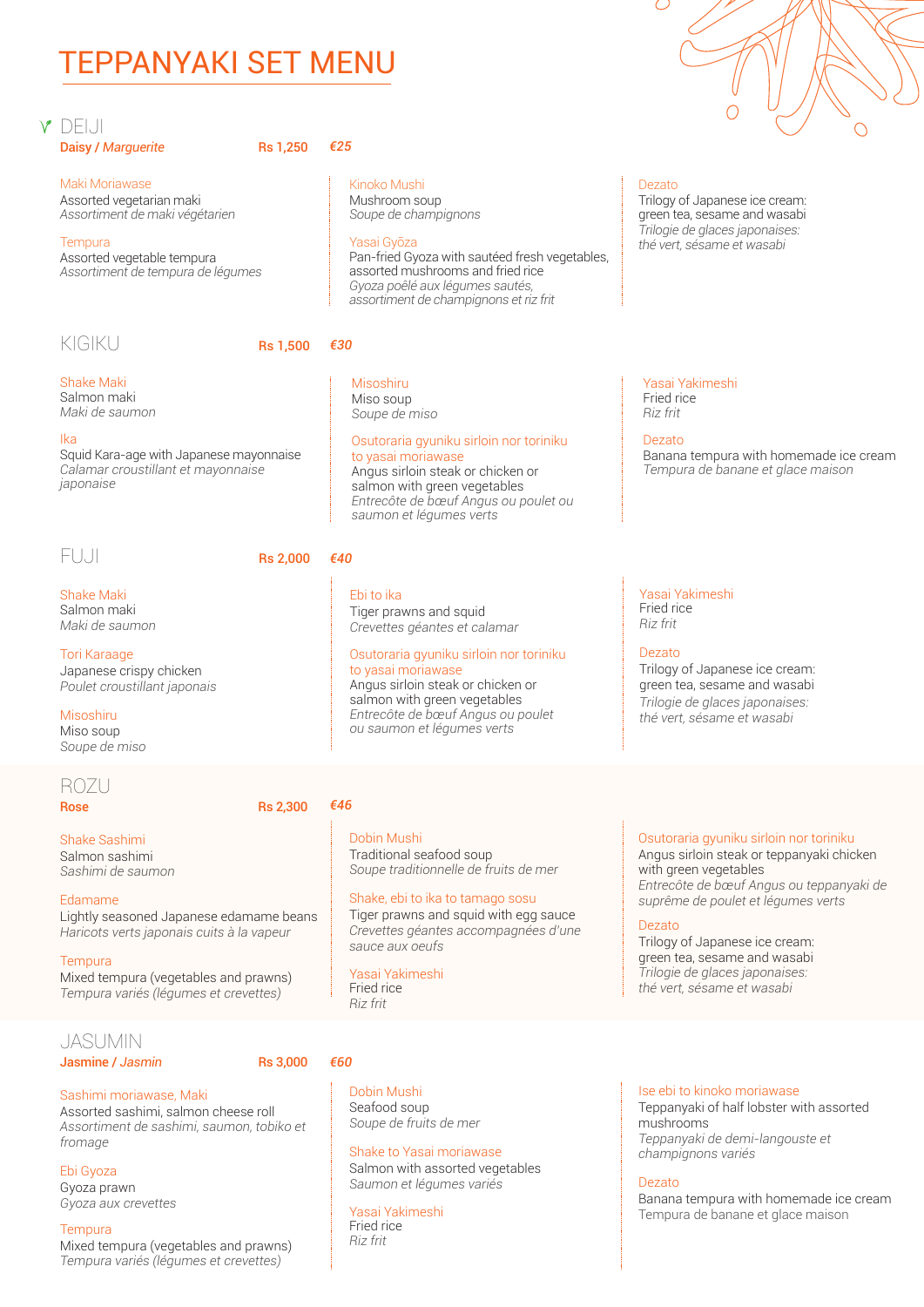## TEPPANYAKI SET MENU

## **Y** DEIJI Daisy / *Marguerite* **Rs 1,250**

Maki Moriawase Assorted vegetarian maki *Assortiment de maki végétarien*

**Tempura** Assorted vegetable tempura *Assortiment de tempura de légumes*

## KIGIKU Rs 1.500

Shake Maki Salmon maki

*Maki de saumon*

## Ika

Squid Kara-age with Japanese mayonnaise *Calamar croustillant et mayonnaise japonaise*

## FUJI Rs 2,000

Shake Maki Salmon maki *Maki de saumon*

Tori Karaage Japanese crispy chicken *Poulet croustillant japonais*

Misoshiru Miso soup *Soupe de miso* 

## ROZU

Rose Rose Rs 2,300

### Shake Sashimi Salmon sashimi

*Sashimi de saumon*

Edamame Lightly seasoned Japanese edamame beans *Haricots verts japonais cuits à la vapeur*

**Tempura** Mixed tempura (vegetables and prawns) *Tempura variés (légumes et crevettes)*

## JASUMIN

## Jasmine / *Jasmin* Rs 3,000

## Sashimi moriawase, Maki

Assorted sashimi, salmon cheese roll *Assortiment de sashimi, saumon, tobiko et fromage*

Ebi Gyoza

Gyoza prawn *Gyoza aux crevettes*

## **Tempura**

Mixed tempura (vegetables and prawns) *Tempura variés (légumes et crevettes)*

*€25*

Kinoko Mushi Mushroom soup *Soupe de champignons*

## Yasai Gyōza

Pan-fried Gyoza with sautéed fresh vegetables, assorted mushrooms and fried rice *Gyoza poêlé aux légumes sautés, assortiment de champignons et riz frit*

## *€30*

Misoshiru Miso soup *Soupe de miso* 

### Osutoraria gyuniku sirloin nor toriniku to yasai moriawase Angus sirloin steak or chicken or salmon with green vegetables *Entrecôte de bœuf Angus ou poulet ou saumon et légumes verts*

## Ebi to ika

*€40*

Tiger prawns and squid *Crevettes géantes et calamar*

## Osutoraria gyuniku sirloin nor toriniku to yasai moriawase

Angus sirloin steak or chicken or salmon with green vegetables *Entrecôte de bœuf Angus ou poulet ou saumon et légumes verts* 

## *€46*

Dobin Mushi Traditional seafood soup *Soupe traditionnelle de fruits de mer*

## Shake, ebi to ika to tamago sosu

Tiger prawns and squid with egg sauce *Crevettes géantes accompagnées d'une sauce aux oeufs*

Yasai Yakimeshi Fried rice *Riz frit*

## *€60*

Dobin Mushi Seafood soup *Soupe de fruits de mer*

## Shake to Yasai moriawase Salmon with assorted vegetables *Saumon et légumes variés*

Yasai Yakimeshi Fried rice *Riz frit*



## Dezato

Trilogy of Japanese ice cream: en tea, sesame and wasabi *Trilogie de glaces japonaises: thé vert, sésame et wasabi*

Yasai Yakimeshi Fried rice *Riz frit*

Dezato Banana tempura with homemade ice cream *Tempura de banane et glace maison*

### Yasai Yakimeshi Fried rice *Riz frit*

Dezato

Trilogy of Japanese ice cream: green tea, sesame and wasabi *Trilogie de glaces japonaises: thé vert, sésame et wasabi*

## Osutoraria gyuniku sirloin nor toriniku

Angus sirloin steak or teppanyaki chicken with green vegetables *Entrecôte de bœuf Angus ou teppanyaki de suprême de poulet et légumes verts*

## Dezato

Trilogy of Japanese ice cream: green tea, sesame and wasabi *Trilogie de glaces japonaises: thé vert, sésame et wasabi*

## Ise ebi to kinoko moriawase

Teppanyaki of half lobster with assorted mushrooms *Teppanyaki de demi-langouste et champignons variés*

## Dezato

Banana tempura with homemade ice cream Tempura de banane et glace maison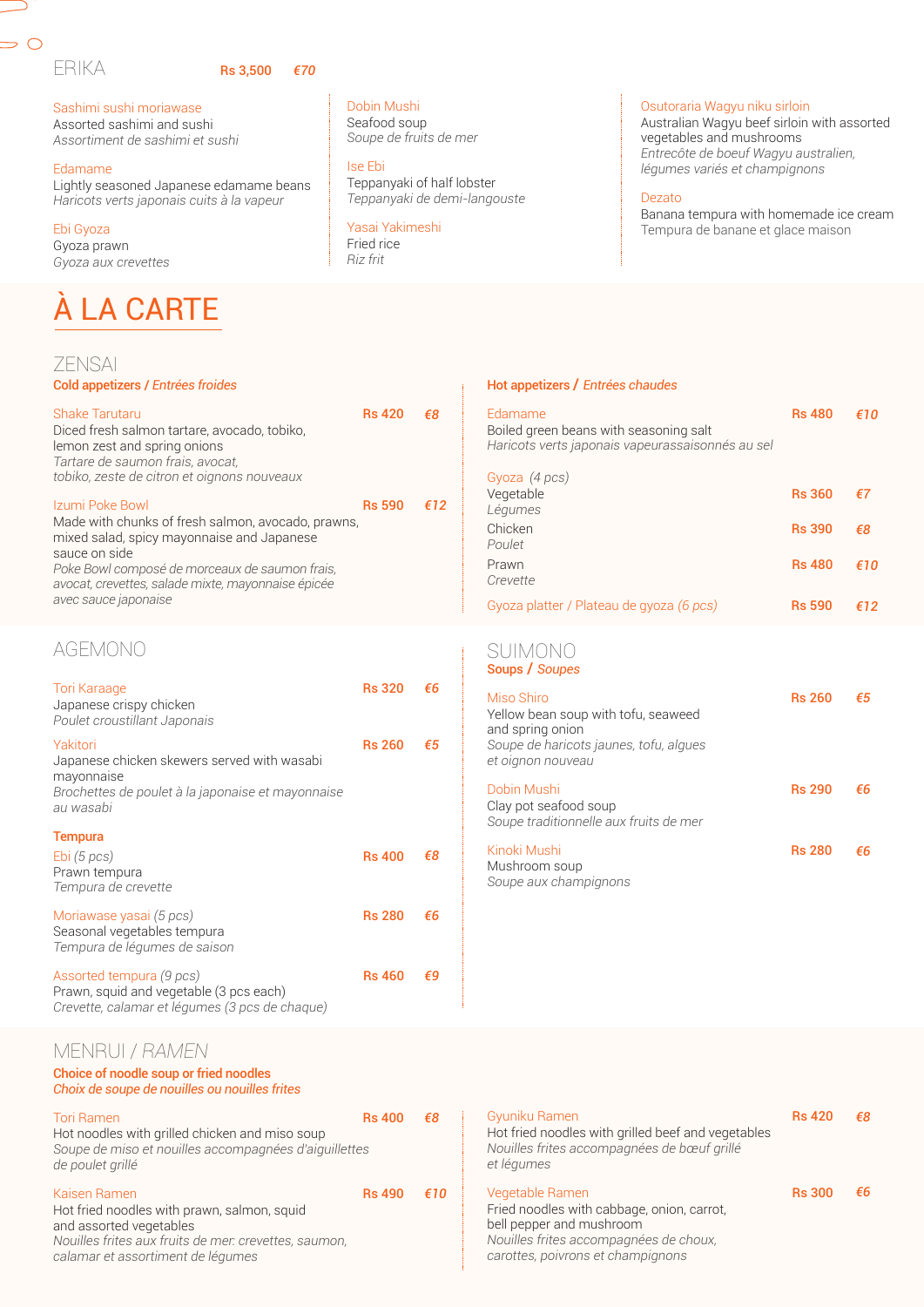## ERIKA Rs 3,500

 $\Rightarrow$   $\circ$ 

## *€70*

Sashimi sushi moriawase Assorted sashimi and sushi *Assortiment de sashimi et sushi*

### Edamame

Lightly seasoned Japanese edamame beans *Haricots verts japonais cuits à la vapeur*

## Ebi Gyoza

Gyoza prawn *Gyoza aux crevettes*

## À LA CARTE

## ZENSAI

## Cold appetizers / *Entrées froides*

| Shake Tarutaru<br>Diced fresh salmon tartare, avocado, tobiko,<br>lemon zest and spring onions<br>Tartare de saumon frais, avocat,<br>tobiko, zeste de citron et oignons nouveaux                                                                                    | <b>Rs 420</b> | ิ€8 |
|----------------------------------------------------------------------------------------------------------------------------------------------------------------------------------------------------------------------------------------------------------------------|---------------|-----|
| Izumi Poke Bowl<br>Made with chunks of fresh salmon, avocado, prawns,<br>mixed salad, spicy mayonnaise and Japanese<br>sauce on side<br>Poke Bowl composé de morceaux de saumon frais,<br>avocat, crevettes, salade mixte, mayonnaise épicée<br>avec sauce japonaise | <b>Rs 590</b> | €12 |

## AGEMONO

| Tori Karaage<br>Japanese crispy chicken<br>Poulet croustillant Japonais                                                                 | <b>Rs 320</b> | €6 |
|-----------------------------------------------------------------------------------------------------------------------------------------|---------------|----|
| Yakitori<br>Japanese chicken skewers served with wasabi<br>mayonnaise<br>Brochettes de poulet à la japonaise et mayonnaise<br>au wasabi | <b>Rs 260</b> | €5 |
| <b>Tempura</b><br>Ebi(5 pcs)<br>Prawn tempura<br>Tempura de crevette                                                                    | <b>Rs 400</b> | €8 |
| Moriawase yasai (5 pcs)<br>Seasonal vegetables tempura<br>Tempura de légumes de saison                                                  | <b>Rs 280</b> | €6 |
| Assorted tempura (9 pcs)<br>Prawn, squid and vegetable (3 pcs each)<br>Crevette, calamar et légumes (3 pcs de chaque)                   | <b>Rs 460</b> | €9 |

## MENRUI / *RAMEN*

## Choice of noodle soup or fried noodles

| Choix de soupe de nouilles ou nouilles frites                                                                                                                                                                                                                                                                                                                                                                                                              |               |    |
|------------------------------------------------------------------------------------------------------------------------------------------------------------------------------------------------------------------------------------------------------------------------------------------------------------------------------------------------------------------------------------------------------------------------------------------------------------|---------------|----|
| Tori Ramen<br>Hot noodles with grilled chicken and miso soup<br>Soupe de miso et nouilles accompagnées d'aiguillettes<br>de poulet grillé                                                                                                                                                                                                                                                                                                                  | <b>Rs 400</b> |    |
| Kaisen Ramen<br>Hot fried noodles with prawn, salmon, squid<br>and assorted vegetables<br>$\mathbf{A} \mathbf{I}$ and $\mathbf{I} \mathbf{I}$ and $\mathbf{I} \mathbf{I}$ and $\mathbf{I} \mathbf{I}$ and $\mathbf{I} \mathbf{I} \mathbf{I}$ and $\mathbf{I} \mathbf{I} \mathbf{I}$ and $\mathbf{I} \mathbf{I} \mathbf{I} \mathbf{I}$ and $\mathbf{I} \mathbf{I} \mathbf{I} \mathbf{I} \mathbf{I}$ and $\mathbf{I} \mathbf{I} \mathbf{I} \mathbf{I} \math$ | <b>Rs 490</b> | €1 |

*Nouilles frites aux fruits de mer: crevettes, saumon, calamar et assortiment de légumes*

Dobin Mushi Seafood soup *Soupe de fruits de mer*

Ise Ebi Teppanyaki of half lobster *Teppanyaki de demi-langouste*

## Yasai Yakimeshi Fried rice

*Riz frit*

## Osutoraria Wagyu niku sirloin

Australian Wagyu beef sirloin with assorted vegetables and mushrooms *Entrecôte de boeuf Wagyu australien, légumes variés et champignons*

## Dezato

Banana tempura with homemade ice cream Tempura de banane et glace maison

## Hot appetizers / *Entrées chaudes*

| Edamame<br>Boiled green beans with seasoning salt<br>Haricots verts japonais vapeurassaisonnés au sel                                | <b>Rs 480</b> | €10 |
|--------------------------------------------------------------------------------------------------------------------------------------|---------------|-----|
| Gyoza (4 pcs)<br>Vegetable<br>Légumes                                                                                                | <b>Rs 360</b> | €7  |
| Chicken<br>Poulet                                                                                                                    | <b>Rs 390</b> | €8  |
| Prawn<br>Crevette                                                                                                                    | <b>Rs 480</b> | €10 |
| Gyoza platter / Plateau de gyoza (6 pcs)                                                                                             | <b>Rs 590</b> | €12 |
| SUIMONO<br>Soups / Soupes                                                                                                            |               |     |
| Miso Shiro<br>Yellow bean soup with tofu, seaweed<br>and spring onion<br>Soupe de haricots jaunes, tofu, algues<br>et oignon nouveau | <b>Rs 260</b> | €5  |
| Dobin Mushi<br>Clay pot seafood soup<br>Soupe traditionnelle aux fruits de mer                                                       | <b>Rs 290</b> | €6  |
| Kinoki Mushi                                                                                                                         | <b>Rs 280</b> | €6  |

Mushroom soup *Soupe aux champignons* 

| €8  | Gyuniku Ramen<br>Hot fried noodles with grilled beef and vegetables<br>Nouilles frites accompagnées de bœuf grillé<br>et légumes                                         | <b>Rs 420</b> | €8 |
|-----|--------------------------------------------------------------------------------------------------------------------------------------------------------------------------|---------------|----|
| €10 | Vegetable Ramen<br>Fried noodles with cabbage, onion, carrot,<br>bell pepper and mushroom<br>Nouilles frites accompagnées de choux,<br>carottes, poivrons et champignons | <b>Rs 300</b> | €6 |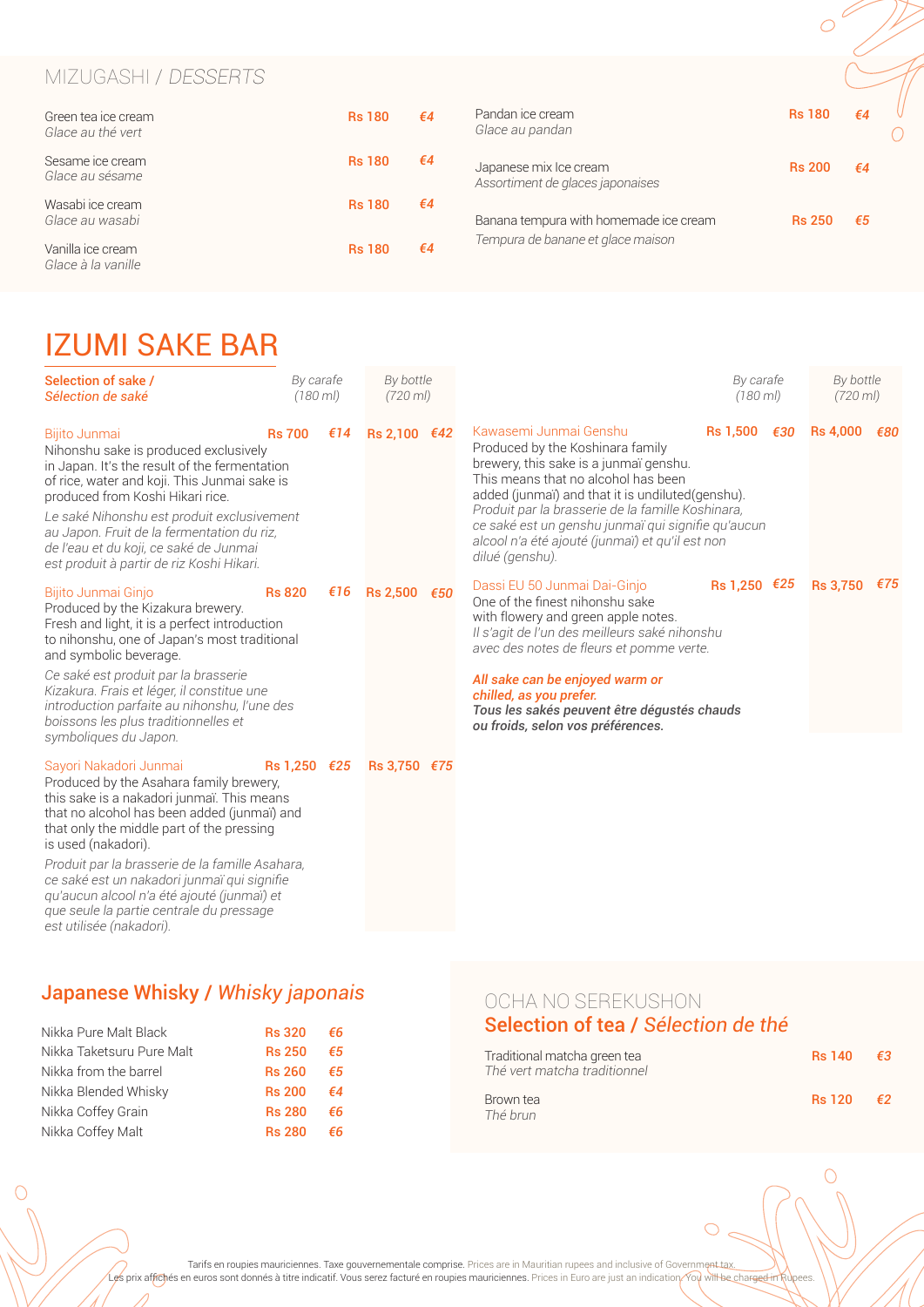## MIZUGASHI / DESSERTS

| Green tea ice cream<br>Glace au thé vert | <b>Rs 180</b> | $\epsilon$ 4 | Pandan ice cream<br>Glace au pandan                        | <b>Rs 180</b> | €4 |  |
|------------------------------------------|---------------|--------------|------------------------------------------------------------|---------------|----|--|
| Sesame ice cream<br>Glace au sésame      | <b>Rs 180</b> | €4           | Japanese mix Ice cream<br>Assortiment de glaces japonaises | <b>Rs 200</b> | €4 |  |
| Wasabi ice cream<br>Glace au wasabi      | <b>Rs 180</b> | €4           | Banana tempura with homemade ice cream                     | <b>Rs 250</b> | €5 |  |
| Vanilla ice cream<br>Glace à la vanille  | <b>Rs 180</b> | €4           | Tempura de banane et glace maison                          |               |    |  |

## IZUMI SAKE BAR

| Selection of sake /<br>Sélection de saké                                                                                                                                                                                                                                                                                                                                                                                                                   | By carafe<br>$(180 \, \text{m})$ |     | By bottle<br>$(720 \, \text{ml})$ |     |                                                                                                                                                                                                                                                                                                                                                                                  | By carafe<br>$(180 \, \text{ml})$ | By bottle<br>$(720 \, \text{m})$ |     |
|------------------------------------------------------------------------------------------------------------------------------------------------------------------------------------------------------------------------------------------------------------------------------------------------------------------------------------------------------------------------------------------------------------------------------------------------------------|----------------------------------|-----|-----------------------------------|-----|----------------------------------------------------------------------------------------------------------------------------------------------------------------------------------------------------------------------------------------------------------------------------------------------------------------------------------------------------------------------------------|-----------------------------------|----------------------------------|-----|
| Bijito Junmai<br>Nihonshu sake is produced exclusively<br>in Japan. It's the result of the fermentation<br>of rice, water and koji. This Junmai sake is<br>produced from Koshi Hikari rice.<br>Le saké Nihonshu est produit exclusivement<br>au Japon. Fruit de la fermentation du riz,<br>de l'eau et du koji, ce saké de Junmai<br>est produit à partir de riz Koshi Hikari.                                                                             | <b>Rs 700</b>                    | €14 | $Rs 2,100$ €42                    |     | Kawasemi Junmai Genshu<br>Produced by the Koshinara family<br>brewery, this sake is a junmaï genshu.<br>This means that no alcohol has been<br>added (junmai) and that it is undiluted(genshu).<br>Produit par la brasserie de la famille Koshinara,<br>ce saké est un genshu junmaï qui signifie qu'aucun<br>alcool n'a été ajouté (junmai) et qu'il est non<br>dilué (genshu). | Rs 1,500 €30                      | <b>Rs 4,000</b>                  | €80 |
| Bijito Junmai Ginjo<br>Produced by the Kizakura brewery.<br>Fresh and light, it is a perfect introduction<br>to nihonshu, one of Japan's most traditional<br>and symbolic beverage.<br>Ce saké est produit par la brasserie<br>Kizakura. Frais et léger, il constitue une<br>introduction parfaite au nihonshu, l'une des<br>boissons les plus traditionnelles et<br>symboliques du Japon.                                                                 | <b>Rs 820</b>                    | €16 | <b>Rs 2,500</b>                   | €50 | Dassi EU 50 Junmai Dai-Ginjo<br>One of the finest nihonshu sake<br>with flowery and green apple notes.<br>Il s'agit de l'un des meilleurs saké nihonshu<br>avec des notes de fleurs et pomme verte.<br>All sake can be enjoyed warm or<br>chilled, as you prefer.<br>Tous les sakés peuvent être dégustés chauds<br>ou froids, selon vos préférences.                            | Rs 1,250 €25                      | <b>Rs 3,750</b>                  | €75 |
| Sayori Nakadori Junmai<br>Produced by the Asahara family brewery,<br>this sake is a nakadori junmaï. This means<br>that no alcohol has been added (junmaï) and<br>that only the middle part of the pressing<br>is used (nakadori).<br>Produit par la brasserie de la famille Asahara,<br>ce saké est un nakadori junmaï qui signifie<br>qu'aucun alcool n'a été ajouté (junmaï) et<br>que seule la partie centrale du pressage<br>est utilisée (nakadori). | Rs 1,250 €25                     |     | Rs 3,750 €75                      |     |                                                                                                                                                                                                                                                                                                                                                                                  |                                   |                                  |     |

## Japanese Whisky / *Whisky japonais*

| Nikka Pure Malt Black     | <b>Rs 320</b> | €6 |
|---------------------------|---------------|----|
| Nikka Taketsuru Pure Malt | <b>Rs 250</b> | €5 |
| Nikka from the barrel     | <b>Rs 260</b> | €5 |
| Nikka Blended Whisky      | <b>Rs 200</b> | €4 |
| Nikka Coffey Grain        | <b>Rs 280</b> | €6 |
| Nikka Coffey Malt         | <b>Rs 280</b> | €6 |

 $\bigcap$ 

## OCHA NO SEREKUSHON Selection of tea / *Sélection de thé*

| Traditional matcha green tea<br>Thé vert matcha traditionnel | <b>Rs 140</b> | - €3       |
|--------------------------------------------------------------|---------------|------------|
| Brown tea<br>Thé brun                                        | <b>Rs</b> 120 | $\epsilon$ |

 $\bigcirc$ 

 $\circ$ 

Tarifs en roupies mauriciennes. Taxe gouvernementale comprise. Prices are in Mauritian rupees and inclusive of Governme<del>nt tax. The Sauld David Barnes and in</del> Sauld David Barnes and inclusive of Governme<del>nt tax.</del> The Sauld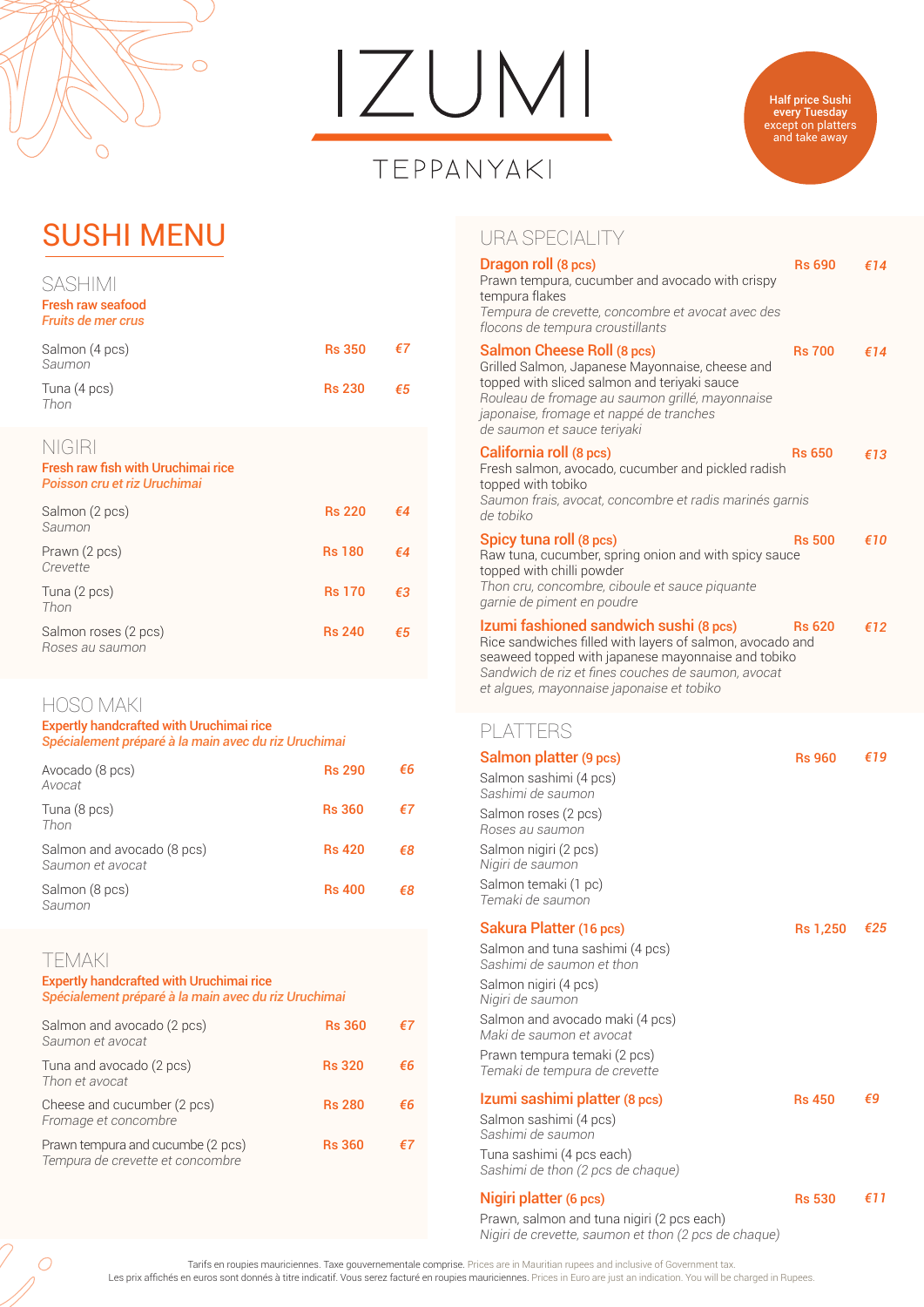

## $IZUMI$

## TEPPANYAKI



## SUSHI MENU

| SASHIMI<br><b>Fresh raw seafood</b><br><b>Fruits de mer crus</b>             |               |              |
|------------------------------------------------------------------------------|---------------|--------------|
| Salmon (4 pcs)<br>Saumon                                                     | <b>Rs 350</b> | €7           |
| Tuna (4 pcs)<br>Thon                                                         | <b>Rs 230</b> | €5           |
| NIGIRI<br>Fresh raw fish with Uruchimai rice<br>Poisson cru et riz Uruchimai |               |              |
| Salmon (2 pcs)<br>Saumon                                                     | <b>Rs 220</b> | €4           |
| Prawn (2 pcs)<br>Crevette                                                    | <b>Rs 180</b> | f4           |
| Tuna (2 pcs)<br>Thon                                                         | <b>Rs 170</b> | $\epsilon$ 3 |
| Salmon roses (2 pcs)<br>Roses au saumon                                      | <b>Rs 240</b> | €5           |
|                                                                              |               |              |

## HOSO MAKI

Expertly handcrafted with Uruchimai rice *Spécialement préparé à la main avec du riz Uruchimai*

| Avocado (8 pcs)<br>Avocat                      | <b>Rs 290</b> | €6 |
|------------------------------------------------|---------------|----|
| Tuna (8 pcs)<br>Thon                           | <b>Rs 360</b> | €7 |
| Salmon and avocado (8 pcs)<br>Saumon et avocat | <b>Rs 420</b> | €8 |
| Salmon (8 pcs)<br>Saumon                       | <b>Rs 400</b> | €8 |
|                                                |               |    |

## TEMAKI Expertly handcrafted with Uruchimai rice *Spécialement préparé à la main avec du riz Uruchimai*

| the contract of the contract of the contract of the contract of the contract of the contract of the contract of |               |
|-----------------------------------------------------------------------------------------------------------------|---------------|
| Salmon and avocado (2 pcs)                                                                                      | <b>Rs 360</b> |
| Saumon et avocat                                                                                                |               |

| Tuna and avocado (2 pcs)<br>Thon et avocat                            | <b>Rs 320</b> | €6 |
|-----------------------------------------------------------------------|---------------|----|
| Cheese and cucumber (2 pcs)<br>Fromage et concombre                   | <b>Rs 280</b> | €6 |
| Prawn tempura and cucumbe (2 pcs)<br>Tempura de crevette et concombre | <b>Rs 360</b> | ₽7 |

## URA SPECIALITY

| Dragon roll (8 pcs)<br>Prawn tempura, cucumber and avocado with crispy<br>tempura flakes<br>Tempura de crevette, concombre et avocat avec des<br>flocons de tempura croustillants                                                                            | <b>Rs 690</b> | €14 |
|--------------------------------------------------------------------------------------------------------------------------------------------------------------------------------------------------------------------------------------------------------------|---------------|-----|
| Salmon Cheese Roll (8 pcs)<br>Grilled Salmon, Japanese Mayonnaise, cheese and<br>topped with sliced salmon and teriyaki sauce<br>Rouleau de fromage au saumon grillé, mayonnaise<br>japonaise, fromage et nappé de tranches<br>de saumon et sauce teriyaki   | <b>Rs 700</b> | €14 |
| California roll (8 pcs)<br>Fresh salmon, avocado, cucumber and pickled radish<br>topped with tobiko<br>Saumon frais, avocat, concombre et radis marinés garnis<br>de tobiko                                                                                  | <b>Rs 650</b> | €13 |
| Spicy tuna roll (8 pcs)<br>Raw tuna, cucumber, spring onion and with spicy sauce<br>topped with chilli powder<br>Thon cru, concombre, ciboule et sauce piquante<br>garnie de piment en poudre                                                                | <b>Rs 500</b> | €10 |
| Izumi fashioned sandwich sushi (8 pcs)<br>Rice sandwiches filled with layers of salmon, avocado and<br>seaweed topped with japanese mayonnaise and tobiko<br>Sandwich de riz et fines couches de saumon, avocat<br>et algues, mayonnaise japonaise et tobiko | <b>Rs 620</b> | €12 |

## PLATTERS

| Salmon platter (9 pcs)                                                                                                       | <b>Rs 960</b>   | €19 |
|------------------------------------------------------------------------------------------------------------------------------|-----------------|-----|
| Salmon sashimi (4 pcs)<br>Sashimi de saumon                                                                                  |                 |     |
| Salmon roses (2 pcs)<br>Roses au saumon                                                                                      |                 |     |
| Salmon nigiri (2 pcs)<br>Nigiri de saumon                                                                                    |                 |     |
| Salmon temaki (1 pc)<br>Temaki de saumon                                                                                     |                 |     |
| Sakura Platter (16 pcs)                                                                                                      | <b>Rs 1,250</b> | €25 |
| Salmon and tuna sashimi (4 pcs)<br>Sashimi de saumon et thon                                                                 |                 |     |
| Salmon nigiri (4 pcs)<br>Nigiri de saumon                                                                                    |                 |     |
| Salmon and avocado maki (4 pcs)<br>Maki de saumon et avocat                                                                  |                 |     |
| Prawn tempura temaki (2 pcs)<br>Temaki de tempura de crevette                                                                |                 |     |
| Izumi sashimi platter (8 pcs)                                                                                                | <b>Rs 450</b>   | €9  |
| Salmon sashimi (4 pcs)<br>Sashimi de saumon                                                                                  |                 |     |
| Tuna sashimi (4 pcs each)<br>Sashimi de thon (2 pcs de chaque)                                                               |                 |     |
| Nigiri platter (6 pcs)<br>Prawn, salmon and tuna nigiri (2 pcs each)<br>Nigiri de crevette, saumon et thon (2 pcs de chaque) | <b>Rs 530</b>   | €11 |



*€7*

. Tarifs en roupies mauriciennes. Taxe gouvernementale comprise. Prices are in Mauritian rupees and inclusive of Government tax.<br>Les prix affichés en euros sont donnés à titre indicatif. Vous serez facturé en roupies mauri